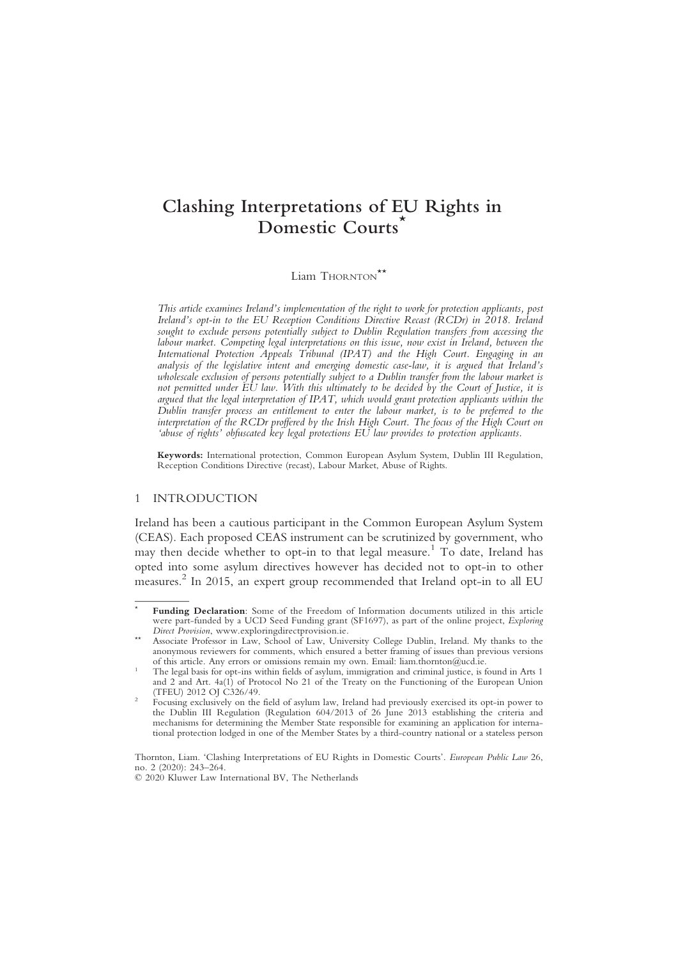# $\sum_{n=1}^{\infty}$  Domestic Courts Domestic Courts\*

Liam THORNTON<sup>\*\*</sup>

This article examines Ireland's implementation of the right to work for protection applicants, post Ireland's opt-in to the EU Reception Conditions Directive Recast (RCDr) in 2018. Ireland sought to exclude persons potentially subject to Dublin Regulation transfers from accessing the labour market. Competing legal interpretations on this issue, now exist in Ireland, between the International Protection Appeals Tribunal (IPAT) and the High Court. Engaging in an analysis of the legislative intent and emerging domestic case-law, it is argued that Ireland's wholescale exclusion of persons potentially subject to a Dublin transfer from the labour market is not permitted under EU law. With this ultimately to be decided by the Court of Justice, it is argued that the legal interpretation of IPAT, which would grant protection applicants within the Dublin transfer process an entitlement to enter the labour market, is to be preferred to the interpretation of the RCDr proffered by the Irish High Court. The focus of the High Court on 'abuse of rights' obfuscated key legal protections EU law provides to protection applicants.

Keywords: International protection, Common European Asylum System, Dublin III Regulation, Reception Conditions Directive (recast), Labour Market, Abuse of Rights.

# 1 INTRODUCTION

Ireland has been a cautious participant in the Common European Asylum System (CEAS). Each proposed CEAS instrument can be scrutinized by government, who may then decide whether to opt-in to that legal measure.<sup>1</sup> To date, Ireland has opted into some asylum directives however has decided not to opt-in to other measures. <sup>2</sup> In 2015, an expert group recommended that Ireland opt-in to all EU

Funding Declaration: Some of the Freedom of Information documents utilized in this article were part-funded by a UCD Seed Funding grant (SF1697), as part of the online project, *Exploring*<br>Direct Provision, www.exploringdirectprovision.ie.

Associate Professor in Law, School of Law, University College Dublin, Ireland. My thanks to the anonymous reviewers for comments, which ensured a better framing of issues than previous versions of this article. Any errors or omissions remain my own. Email: liam.thornton@ucd.ie.

The legal basis for opt-ins within fields of asylum, immigration and criminal justice, is found in Arts 1 and 2 and Art.  $4a(1)$  of Protocol No 21 of the Treaty on the Functioning of the European Union (TFEU) 2012 OJ C326/49.

Focusing exclusively on the field of asylum law, Ireland had previously exercised its opt-in power to the Dublin III Regulation (Regulation 604/2013 of 26 June 2013 establishing the criteria and mechanisms for determining the Member State responsible for examining an application for international protection lodged in one of the Member States by a third-country national or a stateless person

Thornton, Liam. 'Clashing Interpretations of EU Rights in Domestic Courts'. European Public Law 26, no.  $2(2020)$ :  $243-264$ .

<sup>© 2020</sup> Kluwer Law International BV, The Netherlands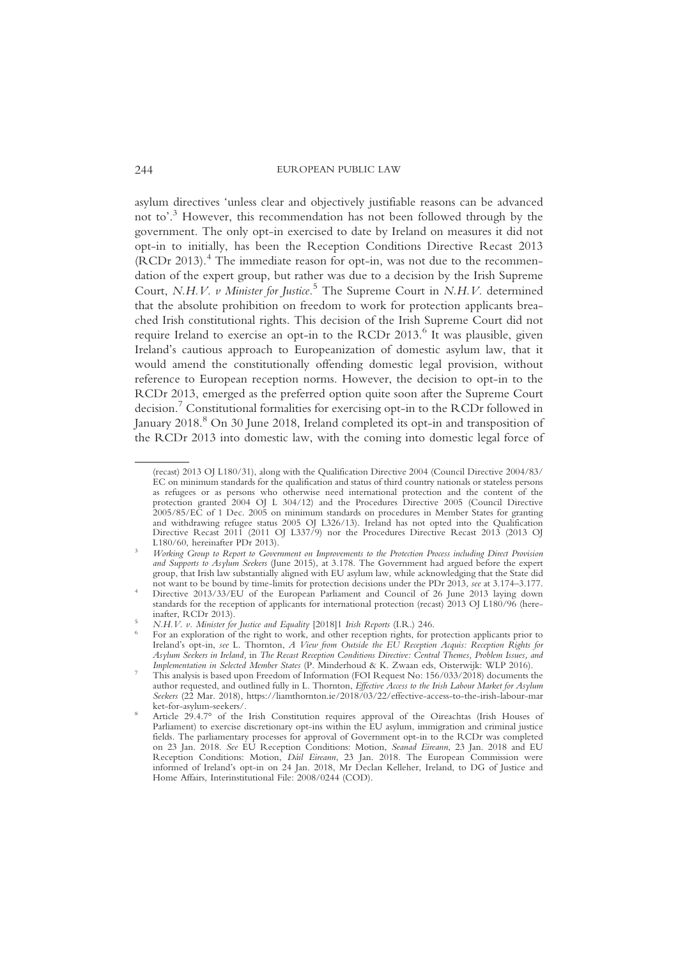asylum directives 'unless clear and objectively justifiable reasons can be advanced not to'. <sup>3</sup> However, this recommendation has not been followed through by the government. The only opt-in exercised to date by Ireland on measures it did not opt-in to initially, has been the Reception Conditions Directive Recast 2013 (RCDr 2013).<sup>4</sup> The immediate reason for opt-in, was not due to the recommendation of the expert group, but rather was due to a decision by the Irish Supreme Court, N.H.V. v Minister for Justice.<sup>5</sup> The Supreme Court in N.H.V. determined that the absolute prohibition on freedom to work for protection applicants breached Irish constitutional rights. This decision of the Irish Supreme Court did not require Ireland to exercise an opt-in to the RCDr  $2013<sup>6</sup>$  It was plausible, given Ireland's cautious approach to Europeanization of domestic asylum law, that it would amend the constitutionally offending domestic legal provision, without reference to European reception norms. However, the decision to opt-in to the RCDr 2013, emerged as the preferred option quite soon after the Supreme Court decision.7 Constitutional formalities for exercising opt-in to the RCDr followed in January 2018.<sup>8</sup> On 30 June 2018, Ireland completed its opt-in and transposition of the RCDr 2013 into domestic law, with the coming into domestic legal force of

<sup>(</sup>recast) 2013 OJ L180/31), along with the Qualification Directive 2004 (Council Directive 2004/83/ EC on minimum standards for the qualification and status of third country nationals or stateless persons as refugees or as persons who otherwise need international protection and the content of the protection granted 2004 OJ L 304/12) and the Procedures Directive 2005 (Council Directive 2005/85/EC of 1 Dec. 2005 on minimum standards on procedures in Member States for granting and withdrawing refugee status 2005 OJ L326/13). Ireland has not opted into the Qualification Directive Recast 2011 (2011 OJ L337/9) nor the Procedures Directive Recast 2013 (2013 OJ L180/60, hereinafter PDr 2013).

Working Group to Report to Government on Improvements to the Protection Process including Direct Provision and Supports to Asylum Seekers (June 2015), at 3.178. The Government had argued before the expert group, that Irish law substantially aligned with EU asylum law, while acknowledging that the State did not want to be bound by time-limits for protection decisions under the PDr 2013, see at 3.174–3.177.

Directive 2013/33/EU of the European Parliament and Council of 26 June 2013 laying down standards for the reception of applicants for international protection (recast) 2013 OJ L180/96 (here-<br>inafter, RCDr 2013).

N.H.V. v. Minister for Justice and Equality [2018]1 Irish Reports (I.R.) 246.<br>For an exploration of the right to work, and other reception rights, for protection applicants prior to Ireland's opt-in, see L. Thornton, A View from Outside the EU Reception Acquis: Reception Rights for Asylum Seekers in Ireland, in The Recast Reception Conditions Directive: Central Themes, Problem Issues, and

This analysis is based upon Freedom of Information (FOI Request No: 156/033/2018) documents the author requested, and outlined fully in L. Thornton, Effective Access to the Irish Labour Market for Asylum Seekers (22 Mar. 2018), https://liamthornton.ie/2018/03/22/effective-access-to-the-irish-labour-mar

ket-for-asylum-seekers/.<br>Article 29.4.7° of the Irish Constitution requires approval of the Oireachtas (Irish Houses of Parliament) to exercise discretionary opt-ins within the EU asylum, immigration and criminal justice fields. The parliamentary processes for approval of Government opt-in to the RCDr was completed on 23 Jan. 2018. See EU Reception Conditions: Motion, Seanad Eireann, 23 Jan. 2018 and EU Reception Conditions: Motion, Dáil Eireann, 23 Jan. 2018. The European Commission were informed of Ireland's opt-in on 24 Jan. 2018, Mr Declan Kelleher, Ireland, to DG of Justice and Home Affairs, Interinstitutional File: 2008/0244 (COD).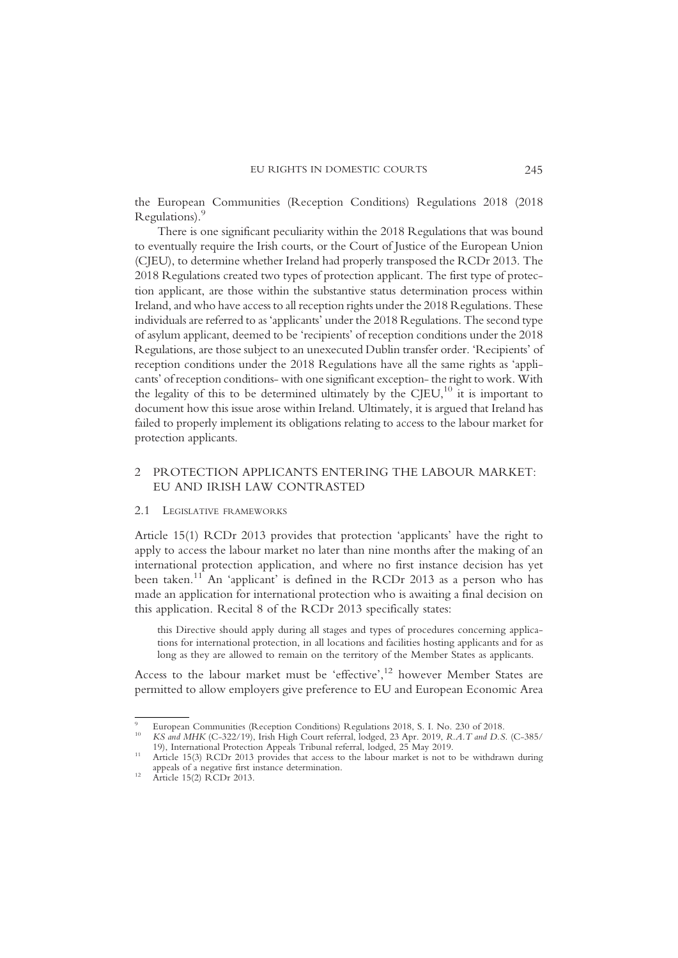the European Communities (Reception Conditions) Regulations 2018 (2018 Regulations).

There is one significant peculiarity within the 2018 Regulations that was bound to eventually require the Irish courts, or the Court of Justice of the European Union (CJEU), to determine whether Ireland had properly transposed the RCDr 2013. The 2018 Regulations created two types of protection applicant. The first type of protection applicant, are those within the substantive status determination process within Ireland, and who have access to all reception rights under the 2018 Regulations. These individuals are referred to as 'applicants' under the 2018 Regulations. The second type of asylum applicant, deemed to be 'recipients' of reception conditions under the 2018 Regulations, are those subject to an unexecuted Dublin transfer order. 'Recipients' of reception conditions under the 2018 Regulations have all the same rights as 'applicants' of reception conditions- with one significant exception- the right to work. With the legality of this to be determined ultimately by the CJEU,<sup>10</sup> it is important to document how this issue arose within Ireland. Ultimately, it is argued that Ireland has failed to properly implement its obligations relating to access to the labour market for protection applicants.

# 2 PROTECTION APPLICANTS ENTERING THE LABOUR MARKET: EU AND IRISH LAW CONTRASTED

#### 2.1 LEGISLATIVE FRAMEWORKS

Article 15(1) RCDr 2013 provides that protection 'applicants' have the right to apply to access the labour market no later than nine months after the making of an international protection application, and where no first instance decision has yet been taken.<sup>11</sup> An 'applicant' is defined in the RCDr 2013 as a person who has made an application for international protection who is awaiting a final decision on this application. Recital 8 of the RCDr 2013 specifically states:

this Directive should apply during all stages and types of procedures concerning applications for international protection, in all locations and facilities hosting applicants and for as long as they are allowed to remain on the territory of the Member States as applicants.

Access to the labour market must be 'effective', <sup>12</sup> however Member States are permitted to allow employers give preference to EU and European Economic Area

European Communities (Reception Conditions) Regulations 2018, S. I. No. 230 of 2018.<br>*KS and MHK* (C-322/19), Irish High Court referral, lodged, 23 Apr. 2019, *R.A.T and D.S.* (C-385/<br>19), International Protection Appeals

Article 15(3) RCDr 2013 provides that access to the labour market is not to be withdrawn during appeals of a negative first instance determination. <sup>12</sup> Article 15(2) RCDr 2013.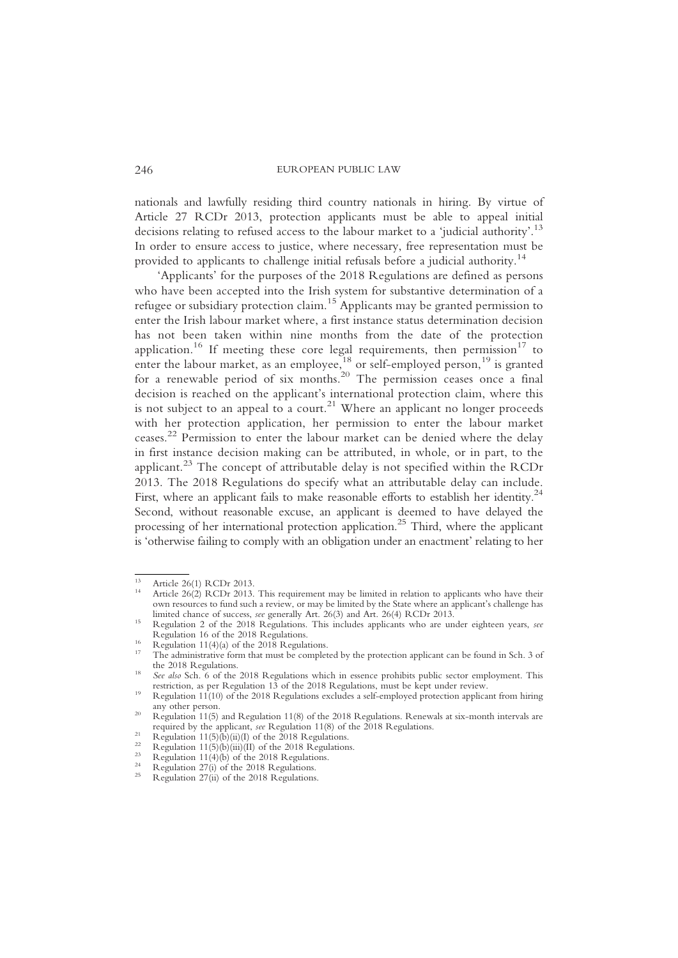nationals and lawfully residing third country nationals in hiring. By virtue of Article 27 RCDr 2013, protection applicants must be able to appeal initial decisions relating to refused access to the labour market to a 'judicial authority'. 13 In order to ensure access to justice, where necessary, free representation must be provided to applicants to challenge initial refusals before a judicial authority.<sup>14</sup>

'Applicants' for the purposes of the 2018 Regulations are defined as persons who have been accepted into the Irish system for substantive determination of a refugee or subsidiary protection claim.<sup>15</sup> Applicants may be granted permission to enter the Irish labour market where, a first instance status determination decision has not been taken within nine months from the date of the protection application.<sup>16</sup> If meeting these core legal requirements, then permission<sup>17</sup> to enter the labour market, as an employee,  $^{18}$  or self-employed person,  $^{19}$  is granted for a renewable period of six months.<sup>20</sup> The permission ceases once a final decision is reached on the applicant's international protection claim, where this is not subject to an appeal to a court.<sup>21</sup> Where an applicant no longer proceeds with her protection application, her permission to enter the labour market ceases. <sup>22</sup> Permission to enter the labour market can be denied where the delay in first instance decision making can be attributed, in whole, or in part, to the applicant.<sup>23</sup> The concept of attributable delay is not specified within the RCDr 2013. The 2018 Regulations do specify what an attributable delay can include. First, where an applicant fails to make reasonable efforts to establish her identity.<sup>24</sup> Second, without reasonable excuse, an applicant is deemed to have delayed the processing of her international protection application.<sup>25</sup> Third, where the applicant is 'otherwise failing to comply with an obligation under an enactment' relating to her

<sup>&</sup>lt;sup>13</sup> Article 26(1) RCDr 2013.<br><sup>14</sup> Article 26(2) RCDr 2013. This requirement may be limited in relation to applicants who have their own resources to fund such a review, or may be limited by the State where an applicant's challenge has limited chance of success, *see* generally Art. 26(3) and Art. 26(4) RCDr 2013.

<sup>&</sup>lt;sup>15</sup> Regulation 2 of the 2018 Regulations. This includes applicants who are under eighteen years, *see* Regulation 16 of the 2018 Regulations.

<sup>&</sup>lt;sup>16</sup> Regulation 11(4)(a) of the 2018 Regulations.<br><sup>17</sup> The administrative form that must be completed by the protection applicant can be found in Sch. 3 of

the 2018 Regulations.<br><sup>18</sup> See also Sch. 6 of the 2018 Regulations which in essence prohibits public sector employment. This restriction, as per Regulation 13 of the 2018 Regulations, must be kept under review.

Regulation  $11(10)$  of the 2018 Regulations excludes a self-employed protection applicant from hiring any other person.

<sup>&</sup>lt;sup>20</sup> Regulation 11(5) and Regulation 11(8) of the 2018 Regulations. Renewals at six-month intervals are required by the applicant, *see* Regulation 11(8) of the 2018 Regulations.<br>
<sup>21</sup> Regulation 11(5)(b)(ii)(I) of the 2018 Regulations.<br>
<sup>22</sup> Regulation 11(5)(b)(iii)(II) of the 2018 Regulations.<br>
<sup>23</sup> Regulation 11(4)(b) of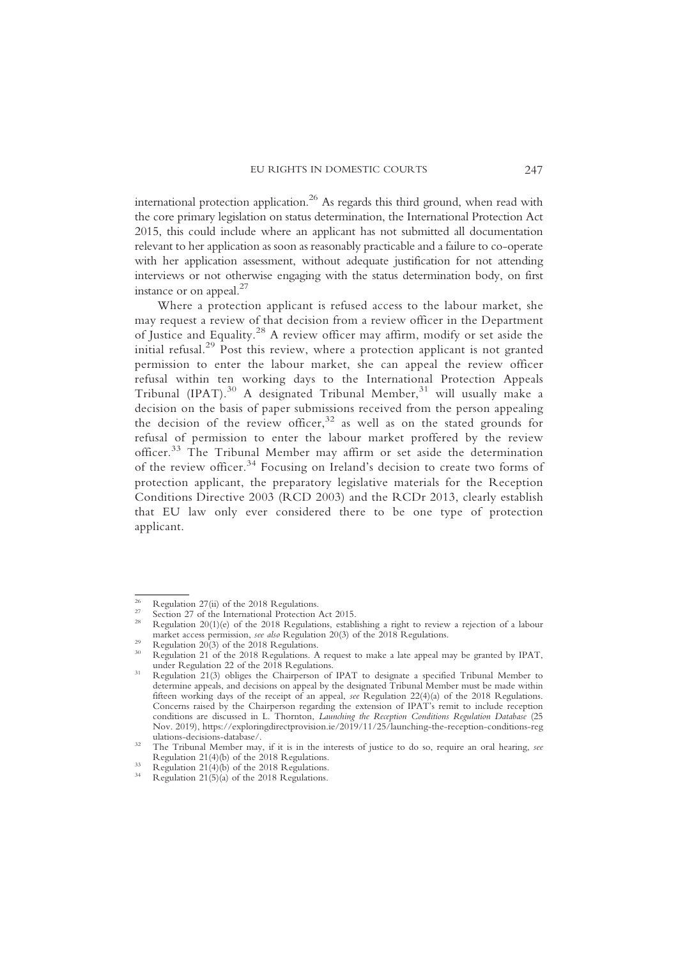international protection application.<sup>26</sup> As regards this third ground, when read with the core primary legislation on status determination, the International Protection Act 2015, this could include where an applicant has not submitted all documentation relevant to her application as soon as reasonably practicable and a failure to co-operate with her application assessment, without adequate justification for not attending interviews or not otherwise engaging with the status determination body, on first instance or on appeal. $^{27}$ 

Where a protection applicant is refused access to the labour market, she may request a review of that decision from a review officer in the Department of Justice and Equality.<sup>28</sup> A review officer may affirm, modify or set aside the initial refusal.<sup>29</sup> Post this review, where a protection applicant is not granted permission to enter the labour market, she can appeal the review officer refusal within ten working days to the International Protection Appeals Tribunal (IPAT).<sup>30</sup> A designated Tribunal Member,<sup>31</sup> will usually make a decision on the basis of paper submissions received from the person appealing the decision of the review officer, $32$  as well as on the stated grounds for refusal of permission to enter the labour market proffered by the review officer.<sup>33</sup> The Tribunal Member may affirm or set aside the determination of the review officer.<sup>34</sup> Focusing on Ireland's decision to create two forms of protection applicant, the preparatory legislative materials for the Reception Conditions Directive 2003 (RCD 2003) and the RCDr 2013, clearly establish that EU law only ever considered there to be one type of protection applicant.

<sup>&</sup>lt;sup>26</sup> Regulation 27(ii) of the 2018 Regulations.<br><sup>27</sup> Section 27 of the International Protection Act 2015.<br><sup>28</sup> Regulation 20(1)(e) of the 2018 Regulations, establishing a right to review a rejection of a labour<br><sup>28</sup> marke

Regulation 20(3) of the 2018 Regulations.<br>Regulation 21 of the 2018 Regulations. A request to make a late appeal may be granted by IPAT, under Regulation 22 of the 2018 Regulations.<br>
31 Regulation 21(3) obliges the Chairperson of IPAT to designate a specified Tribunal Member to

determine appeals, and decisions on appeal by the designated Tribunal Member must be made within fifteen working days of the receipt of an appeal, see Regulation 22(4)(a) of the 2018 Regulations. Concerns raised by the Chairperson regarding the extension of IPAT's remit to include reception conditions are discussed in L. Thornton, Launching the Reception Conditions Regulation Database (25 Nov. 2019), https://exploringdirectprovision.ie/2019/11/25/launching-the-reception-conditions-reg

ulations-decisions-database/.<br>32 The Tribunal Member may, if it is in the interests of justice to do so, require an oral hearing, see<br>Regulation 21(4)(b) of the 2018 Regulations.

Regulation  $21(4)(b)$  of the 2018 Regulations.<br>Regulation 21(5)(a) of the 2018 Regulations.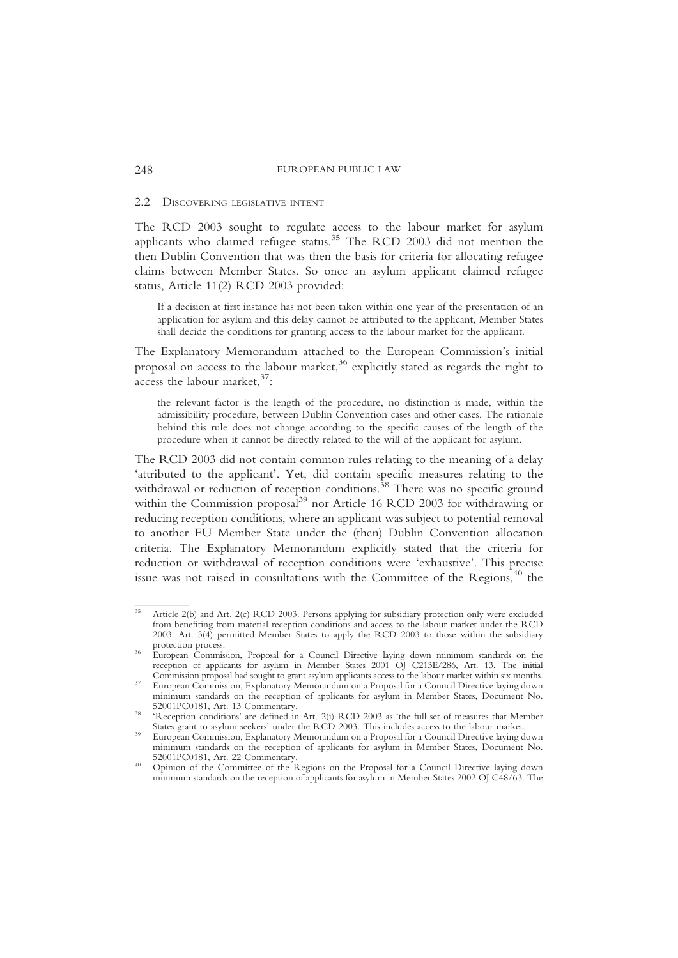#### 2.2 DISCOVERING LEGISLATIVE INTENT

The RCD 2003 sought to regulate access to the labour market for asylum applicants who claimed refugee status.35 The RCD 2003 did not mention the then Dublin Convention that was then the basis for criteria for allocating refugee claims between Member States. So once an asylum applicant claimed refugee status, Article 11(2) RCD 2003 provided:

If a decision at first instance has not been taken within one year of the presentation of an application for asylum and this delay cannot be attributed to the applicant, Member States shall decide the conditions for granting access to the labour market for the applicant.

The Explanatory Memorandum attached to the European Commission's initial proposal on access to the labour market,<sup>36</sup> explicitly stated as regards the right to  $\frac{1}{\sqrt{3}}$  access the labour market,  $\frac{37}{2}$ :

the relevant factor is the length of the procedure, no distinction is made, within the admissibility procedure, between Dublin Convention cases and other cases. The rationale behind this rule does not change according to the specific causes of the length of the procedure when it cannot be directly related to the will of the applicant for asylum.

The RCD 2003 did not contain common rules relating to the meaning of a delay 'attributed to the applicant'. Yet, did contain specific measures relating to the withdrawal or reduction of reception conditions.<sup>38</sup> There was no specific ground within the Commission proposal<sup>39</sup> nor Article 16 RCD 2003 for withdrawing or reducing reception conditions, where an applicant was subject to potential removal to another EU Member State under the (then) Dublin Convention allocation criteria. The Explanatory Memorandum explicitly stated that the criteria for reduction or withdrawal of reception conditions were 'exhaustive'. This precise issue was not raised in consultations with the Committee of the Regions, $40$  the

Article 2(b) and Art. 2(c) RCD 2003. Persons applying for subsidiary protection only were excluded from benefiting from material reception conditions and access to the labour market under the RCD 2003. Art.  $3(4)$  permitted Member States to apply the RCD 2003 to those within the subsidiary protection process.

Protection protection proposal for a Council Directive laying down minimum standards on the reception of applicants for asylum in Member States 2001 OJ C213E/286, Art. 13. The initial Commission proposal had sought to grant asylum applicants access to the labour market within six months.

European Commission, Explanatory Memorandum on a Proposal for a Council Directive laying down minimum standards on the reception of applicants for asylum in Member States, Document No.

<sup>&#</sup>x27;Reception conditions' are defined in Art. 2(i) RCD 2003 as 'the full set of measures that Member States grant to asylum seekers' under the RCD 2003. This includes access to the labour market.

European Commission, Explanatory Memorandum on a Proposal for a Council Directive laying down minimum standards on the reception of applicants for asylum in Member States, Document No.

Opinion of the Committee of the Regions on the Proposal for a Council Directive laying down minimum standards on the reception of applicants for asylum in Member States 2002 OJ C48/63. The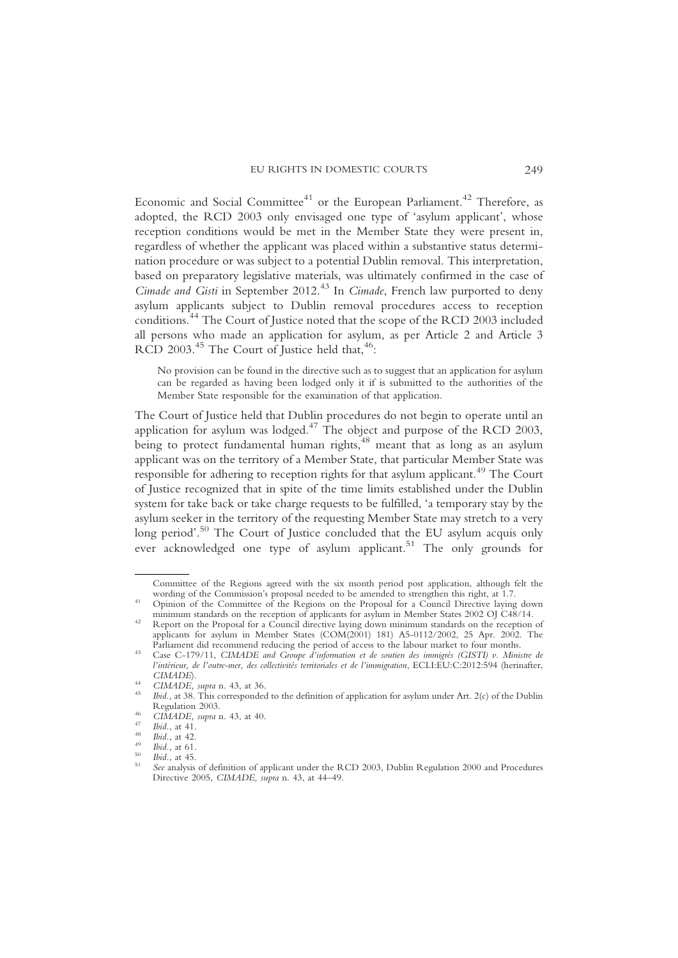Economic and Social Committee<sup>41</sup> or the European Parliament.<sup>42</sup> Therefore, as adopted, the RCD 2003 only envisaged one type of 'asylum applicant', whose reception conditions would be met in the Member State they were present in, regardless of whether the applicant was placed within a substantive status determination procedure or was subject to a potential Dublin removal. This interpretation, based on preparatory legislative materials, was ultimately confirmed in the case of Cimade and Gisti in September 2012.<sup>43</sup> In Cimade, French law purported to deny asylum applicants subject to Dublin removal procedures access to reception conditions.<sup>44</sup> The Court of Justice noted that the scope of the RCD 2003 included all persons who made an application for asylum, as per Article 2 and Article 3 RCD 2003.<sup>45</sup> The Court of Justice held that,<sup>46</sup>:

No provision can be found in the directive such as to suggest that an application for asylum can be regarded as having been lodged only it if is submitted to the authorities of the Member State responsible for the examination of that application.

The Court of Justice held that Dublin procedures do not begin to operate until an application for asylum was lodged.<sup>47</sup> The object and purpose of the RCD 2003, being to protect fundamental human rights,<sup>48</sup> meant that as long as an asylum applicant was on the territory of a Member State, that particular Member State was responsible for adhering to reception rights for that asylum applicant.<sup>49</sup> The Court of Justice recognized that in spite of the time limits established under the Dublin system for take back or take charge requests to be fulfilled, 'a temporary stay by the asylum seeker in the territory of the requesting Member State may stretch to a very long period'.<sup>50</sup> The Court of Justice concluded that the EU asylum acquis only ever acknowledged one type of asylum applicant.<sup>51</sup> The only grounds for

Committee of the Regions agreed with the six month period post application, although felt the wording of the Commission's proposal needed to be amended to strengthen this right, at 1.7.

Opinion of the Committee of the Regions on the Proposal for a Council Directive laying down

minimum standards on the reception of applicants for asylum in Member States 2002 OJ C48/14.<br><sup>42</sup> Report on the Proposal for a Council directive laying down minimum standards on the reception of applicants for asylum in Member States (COM(2001) 181) A5-0112/2002, 25 Apr. 2002. The Parliament did recommend reducing the period of access to the labour market to four months.

Case C-179/11, CIMADE and Groupe d'information et de soutien des immigrés (GISTI) v. Ministre de l'intérieur, de l'outre-mer, des collectivités territoriales et de l'immigration, ECLI:EU:C:2012:594 (herinafter,

CIMADE, supra n. 43, at 36.<br>Ibid., at 38. This corresponded to the definition of application for asylum under Art. 2(c) of the Dublin<br>Regulation 2003.

<sup>&</sup>lt;sup>46</sup> CIMADE, supra n. 43, at 40.<br>
<sup>47</sup> Ibid., at 41.<br>
<sup>48</sup> Ibid., at 42.<br>
<sup>49</sup> Ibid., at 61.<br>
<sup>50</sup> Ibid., at 45.<br> *See* analysis of definition of applicant under the RCD 2003. Dublin Regulation 2000 and Procedures Directive 2005, CIMADE, supra n. 43, at 44-49.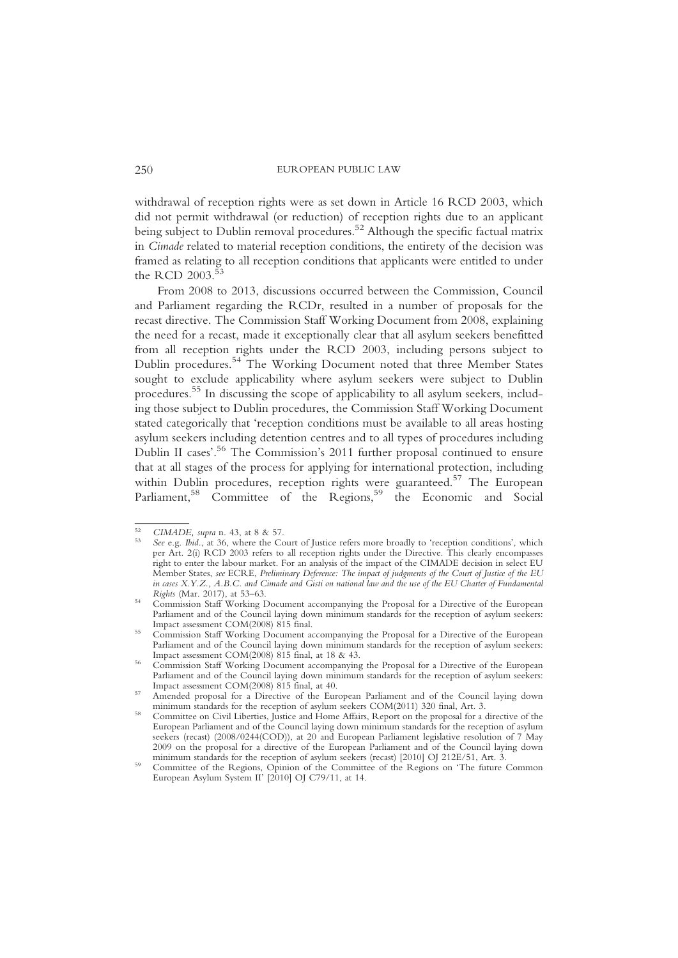withdrawal of reception rights were as set down in Article 16 RCD 2003, which did not permit withdrawal (or reduction) of reception rights due to an applicant being subject to Dublin removal procedures.<sup>52</sup> Although the specific factual matrix in Cimade related to material reception conditions, the entirety of the decision was framed as relating to all reception conditions that applicants were entitled to under the RCD  $2003$ .<sup>5</sup>

From 2008 to 2013, discussions occurred between the Commission, Council and Parliament regarding the RCDr, resulted in a number of proposals for the recast directive. The Commission Staff Working Document from 2008, explaining the need for a recast, made it exceptionally clear that all asylum seekers benefitted from all reception rights under the RCD 2003, including persons subject to Dublin procedures.<sup>54</sup> The Working Document noted that three Member States sought to exclude applicability where asylum seekers were subject to Dublin procedures.<sup>55</sup> In discussing the scope of applicability to all asylum seekers, including those subject to Dublin procedures, the Commission Staff Working Document stated categorically that 'reception conditions must be available to all areas hosting asylum seekers including detention centres and to all types of procedures including Dublin II cases'. <sup>56</sup> The Commission's 2011 further proposal continued to ensure that at all stages of the process for applying for international protection, including within Dublin procedures, reception rights were guaranteed.<sup>57</sup> The European Parliament,<sup>58</sup> Committee of the Regions,<sup>59</sup> the Economic and Social

<sup>&</sup>lt;sup>52</sup> CIMADE, supra n. 43, at 8 & 57.<br><sup>53</sup> See e.g. Ibid., at 36, where the Court of Justice refers more broadly to 'reception conditions', which per Art. 2(i) RCD 2003 refers to all reception rights under the Directive. This clearly encompasses right to enter the labour market. For an analysis of the impact of the CIMADE decision in select EU Member States, see ECRE, Preliminary Deference: The impact of judgments of the Court of Justice of the EU in cases X.Y.Z., A.B.C. and Cimade and Gisti on national law and the use of the EU Charter of Fundamental

Rights (Mar. 2017), at 53–63. <sup>54</sup> Commission Staff Working Document accompanying the Proposal for a Directive of the European Parliament and of the Council laying down minimum standards for the reception of asylum seekers: Impact assessment COM(2008) 815 final.<br>Commission Staff Working Document accompanying the Proposal for a Directive of the European

Parliament and of the Council laying down minimum standards for the reception of asylum seekers:<br>Impact assessment COM(2008) 815 final, at 18 & 43.

Commission Staff Working Document accompanying the Proposal for a Directive of the European Parliament and of the Council laying down minimum standards for the reception of asylum seekers:<br>Impact assessment COM(2008) 815 final, at 40.

Amended proposal for a Directive of the European Parliament and of the Council laying down minimum standards for the reception of asylum seekers COM(2011) 320 final, Art. 3.

Committee on Civil Liberties, Justice and Home Affairs, Report on the proposal for a directive of the European Parliament and of the Council laying down minimum standards for the reception of asylum seekers (recast) (2008/0244(COD)), at 20 and European Parliament legislative resolution of 7 May 2009 on the proposal for a directive of the European Parliament and of the Council laying down<br>minimum standards for the reception of asylum seekers (recast) [2010] OI 212E/51. Art. 3.

minimum standards for the reception of asylum seekers (recast) [2010] OJ 212E/51, Art. 3.<br><sup>59</sup> Committee of the Regions, Opinion of the Committee of the Regions on 'The future Common European Asylum System II' [2010] OJ C79/11, at 14.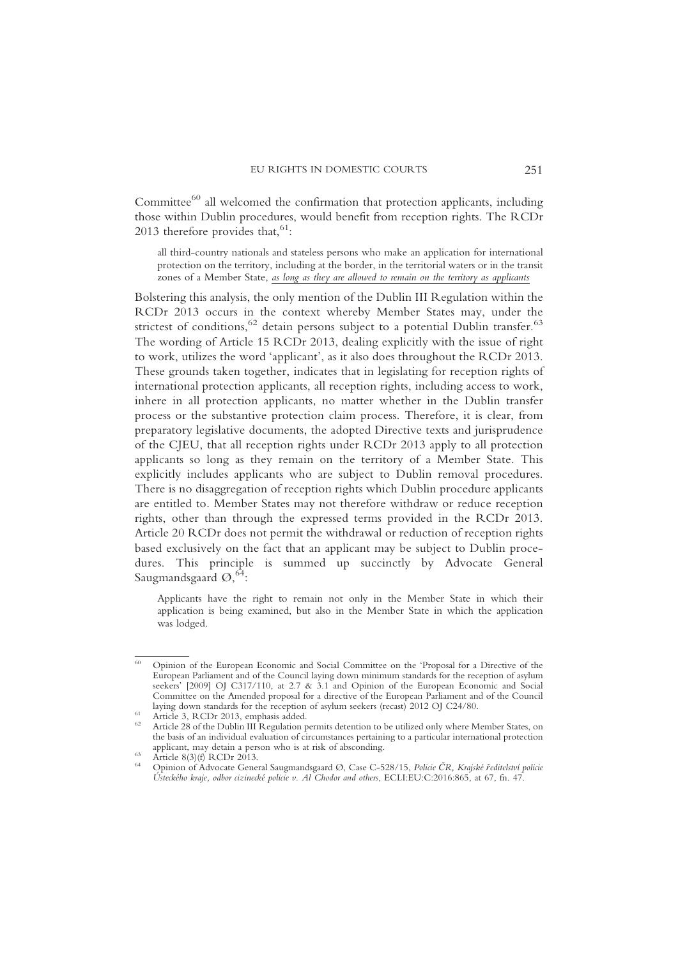Committee $^{60}$  all welcomed the confirmation that protection applicants, including those within Dublin procedures, would benefit from reception rights. The RCDr 2013 therefore provides that,  $61$ :

all third-country nationals and stateless persons who make an application for international protection on the territory, including at the border, in the territorial waters or in the transit zones of a Member State, as long as they are allowed to remain on the territory as applicants

Bolstering this analysis, the only mention of the Dublin III Regulation within the RCDr 2013 occurs in the context whereby Member States may, under the strictest of conditions,  $62$  detain persons subject to a potential Dublin transfer.  $63$ The wording of Article 15 RCDr 2013, dealing explicitly with the issue of right to work, utilizes the word 'applicant', as it also does throughout the RCDr 2013. These grounds taken together, indicates that in legislating for reception rights of international protection applicants, all reception rights, including access to work, inhere in all protection applicants, no matter whether in the Dublin transfer process or the substantive protection claim process. Therefore, it is clear, from preparatory legislative documents, the adopted Directive texts and jurisprudence of the CJEU, that all reception rights under RCDr 2013 apply to all protection applicants so long as they remain on the territory of a Member State. This explicitly includes applicants who are subject to Dublin removal procedures. There is no disaggregation of reception rights which Dublin procedure applicants are entitled to. Member States may not therefore withdraw or reduce reception rights, other than through the expressed terms provided in the RCDr 2013. Article 20 RCDr does not permit the withdrawal or reduction of reception rights based exclusively on the fact that an applicant may be subject to Dublin procedures. This principle is summed up succinctly by Advocate General Saugmandsgaard  $\mathcal{O},^{64}$ :

Applicants have the right to remain not only in the Member State in which their application is being examined, but also in the Member State in which the application was lodged.

<sup>60</sup> Opinion of the European Economic and Social Committee on the 'Proposal for a Directive of the European Parliament and of the Council laying down minimum standards for the reception of asylum seekers' [2009] OJ C317/110, at 2.7 & 3.1 and Opinion of the European Economic and Social Committee on the Amended proposal for a directive of the European Parliament and of the Council<br>laving down standards for the reception of asylum seekers (recast) 2012 OI C24/80.

Article 3, RCDr 2013, emphasis added.<br>Article 28 of the Dublin III Regulation permits detention to be utilized only where Member States, on the basis of an individual evaluation of circumstances pertaining to a particular international protection applicant, may detain a person who is at risk of absconding.

Article 8(3)(f) RCDr 2013.<br>Opinion of Advocate General Saugmandsgaard Ø, Case C-528/15, Policie ČR, Krajské ředitelství policie Ústeckého kraje, odbor cizinecké policie v. Al Chodor and others, ECLI:EU:C:2016:865, at 67, fn. 47.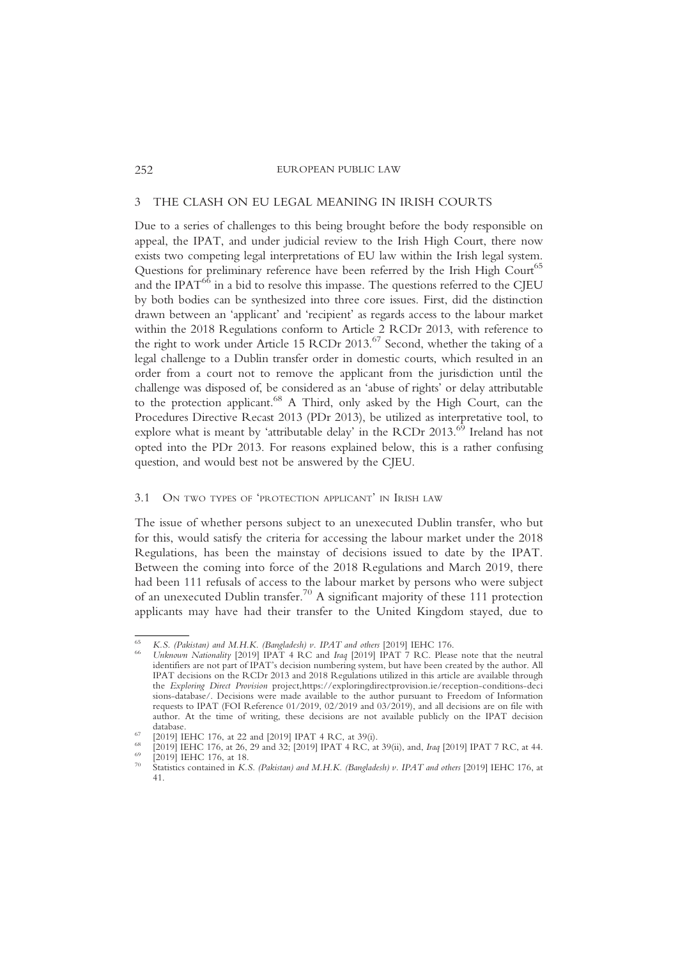# 3 THE CLASH ON EU LEGAL MEANING IN IRISH COURTS

Due to a series of challenges to this being brought before the body responsible on appeal, the IPAT, and under judicial review to the Irish High Court, there now exists two competing legal interpretations of EU law within the Irish legal system. Questions for preliminary reference have been referred by the Irish High Court<sup>65</sup> and the IPAT $^{66}$  in a bid to resolve this impasse. The questions referred to the CJEU by both bodies can be synthesized into three core issues. First, did the distinction drawn between an 'applicant' and 'recipient' as regards access to the labour market within the 2018 Regulations conform to Article 2 RCDr 2013, with reference to the right to work under Article 15 RCDr 2013.<sup>67</sup> Second, whether the taking of a legal challenge to a Dublin transfer order in domestic courts, which resulted in an order from a court not to remove the applicant from the jurisdiction until the challenge was disposed of, be considered as an 'abuse of rights' or delay attributable to the protection applicant.68 A Third, only asked by the High Court, can the Procedures Directive Recast 2013 (PDr 2013), be utilized as interpretative tool, to explore what is meant by 'attributable delay' in the RCDr  $2013$ .<sup>69</sup> Ireland has not opted into the PDr 2013. For reasons explained below, this is a rather confusing question, and would best not be answered by the CJEU.

# 3.1 ON TWO TYPES OF 'PROTECTION APPLICANT' IN IRISH LAW

The issue of whether persons subject to an unexecuted Dublin transfer, who but for this, would satisfy the criteria for accessing the labour market under the 2018 Regulations, has been the mainstay of decisions issued to date by the IPAT. Between the coming into force of the 2018 Regulations and March 2019, there had been 111 refusals of access to the labour market by persons who were subject of an unexecuted Dublin transfer.<sup>70</sup> A significant majority of these 111 protection applicants may have had their transfer to the United Kingdom stayed, due to

K.S. (Pakistan) and M.H.K. (Bangladesh) v. IPAT and others [2019] IEHC 176.<br>Unknown Nationality [2019] IPAT 4 RC and Iraq [2019] IPAT 7 RC. Please note that the neutral identifiers are not part of IPAT's decision numbering system, but have been created by the author. All IPAT decisions on the RCDr 2013 and 2018 Regulations utilized in this article are available through the Exploring Direct Provision project,https://exploringdirectprovision.ie/reception-conditions-deci sions-database/. Decisions were made available to the author pursuant to Freedom of Information requests to IPAT (FOI Reference 01/2019, 02/2019 and 03/2019), and all decisions are on file with author. At the time of writing, these decisions are not available publicly on the IPAT decision

<sup>&</sup>lt;sup>67</sup> [2019] IEHC 176, at 22 and [2019] IPAT 4 RC, at 39(i).<br>
<sup>68</sup> [2019] IEHC 176, at 26, 29 and 32; [2019] IPAT 4 RC, at 39(ii), and, *Iraq* [2019] IPAT 7 RC, at 44.<br>
<sup>69</sup> [2019] IEHC 176, at 18.<br>
<sup>70</sup> Statistics contain

<sup>41.</sup>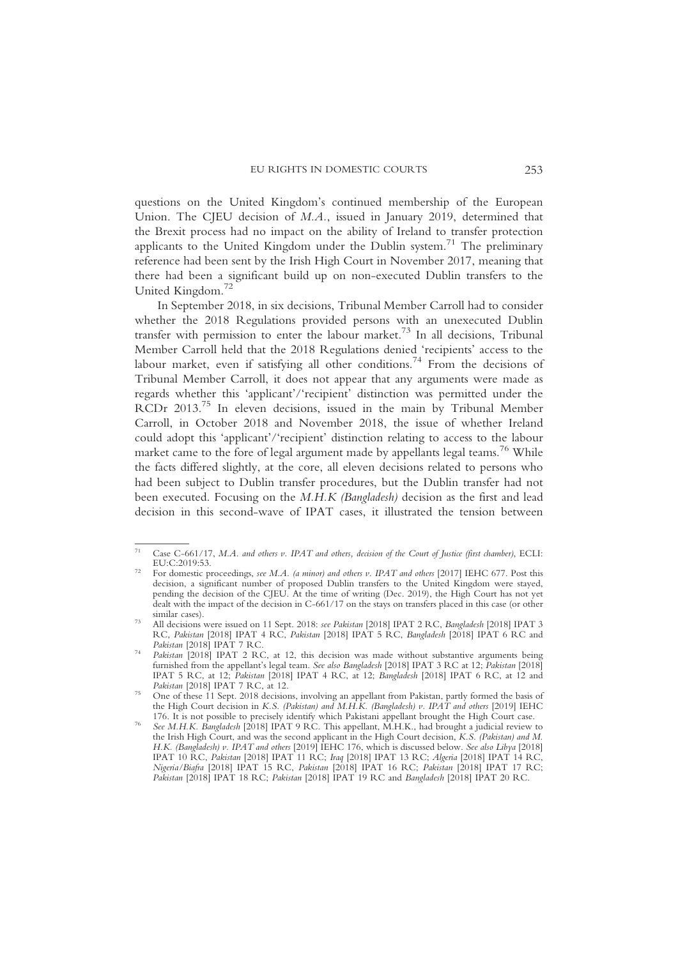questions on the United Kingdom's continued membership of the European Union. The CJEU decision of M.A., issued in January 2019, determined that the Brexit process had no impact on the ability of Ireland to transfer protection applicants to the United Kingdom under the Dublin system.<sup>71</sup> The preliminary reference had been sent by the Irish High Court in November 2017, meaning that there had been a significant build up on non-executed Dublin transfers to the United Kingdom.<sup>72</sup>

In September 2018, in six decisions, Tribunal Member Carroll had to consider whether the 2018 Regulations provided persons with an unexecuted Dublin transfer with permission to enter the labour market.<sup>73</sup> In all decisions, Tribunal Member Carroll held that the 2018 Regulations denied 'recipients' access to the labour market, even if satisfying all other conditions.<sup>74</sup> From the decisions of Tribunal Member Carroll, it does not appear that any arguments were made as regards whether this 'applicant'/'recipient' distinction was permitted under the RCDr 2013.75 In eleven decisions, issued in the main by Tribunal Member Carroll, in October 2018 and November 2018, the issue of whether Ireland could adopt this 'applicant'/'recipient' distinction relating to access to the labour market came to the fore of legal argument made by appellants legal teams.<sup>76</sup> While the facts differed slightly, at the core, all eleven decisions related to persons who had been subject to Dublin transfer procedures, but the Dublin transfer had not been executed. Focusing on the M.H.K (Bangladesh) decision as the first and lead decision in this second-wave of IPAT cases, it illustrated the tension between

<sup>&</sup>lt;sup>71</sup> Case C-661/17, M.A. and others v. IPAT and others, decision of the Court of Justice (first chamber), ECLI:<br>EU:C:2019:53

For domestic proceedings, see M.A. (a minor) and others v. IPAT and others [2017] IEHC 677. Post this decision, a significant number of proposed Dublin transfers to the United Kingdom were stayed, pending the decision of the CJEU. At the time of writing (Dec. 2019), the High Court has not yet dealt with the impact of the decision in C-661/17 on the stays on transfers placed in this case (or other

similar cases).<br>All decisions were issued on 11 Sept. 2018: see Pakistan [2018] IPAT 2 RC, Bangladesh [2018] IPAT 3 RC, Pakistan [2018] IPAT 4 RC, Pakistan [2018] IPAT 5 RC, Bangladesh [2018] IPAT 6 RC and Pakistan [2018] IPAT 7 RC.

Pakistan [2018] IPAT 2 RC, at 12, this decision was made without substantive arguments being furnished from the appellant's legal team. See also Bangladesh [2018] IPAT 3 RC at 12; Pakistan [2018] IPAT 5 RC, at 12; Pakistan [2018] IPAT 4 RC, at 12; Bangladesh [2018] IPAT 6 RC, at 12 and Pakistan [2018] IPAT 7 RC, at 12.

Pakistan [2018] IPAT 7 RC, at 12.<br><sup>75</sup> One of these 11 Sept. 2018 decisions, involving an appellant from Pakistan, partly formed the basis of the High Court decision in K.S. (Pakistan) and M.H.K. (Bangladesh) v. IPAT and others [2019] IEHC

<sup>176.</sup> It is not possible to precisely identify which Pakistani appellant brought the High Court case.<br>See M.H.K. Bangladesh [2018] IPAT 9 RC. This appellant, M.H.K., had brought a judicial review to the Irish High Court, and was the second applicant in the High Court decision, K.S. (Pakistan) and M. H.K. (Bangladesh) v. IPAT and others [2019] IEHC 176, which is discussed below. See also Libya [2018] IPAT 10 RC, Pakistan [2018] IPAT 11 RC; Iraq [2018] IPAT 13 RC; Algeria [2018] IPAT 14 RC, Nigeria/Biafra [2018] IPAT 15 RC, Pakistan [2018] IPAT 16 RC; Pakistan [2018] IPAT 17 RC; Pakistan [2018] IPAT 18 RC; Pakistan [2018] IPAT 19 RC and Bangladesh [2018] IPAT 20 RC.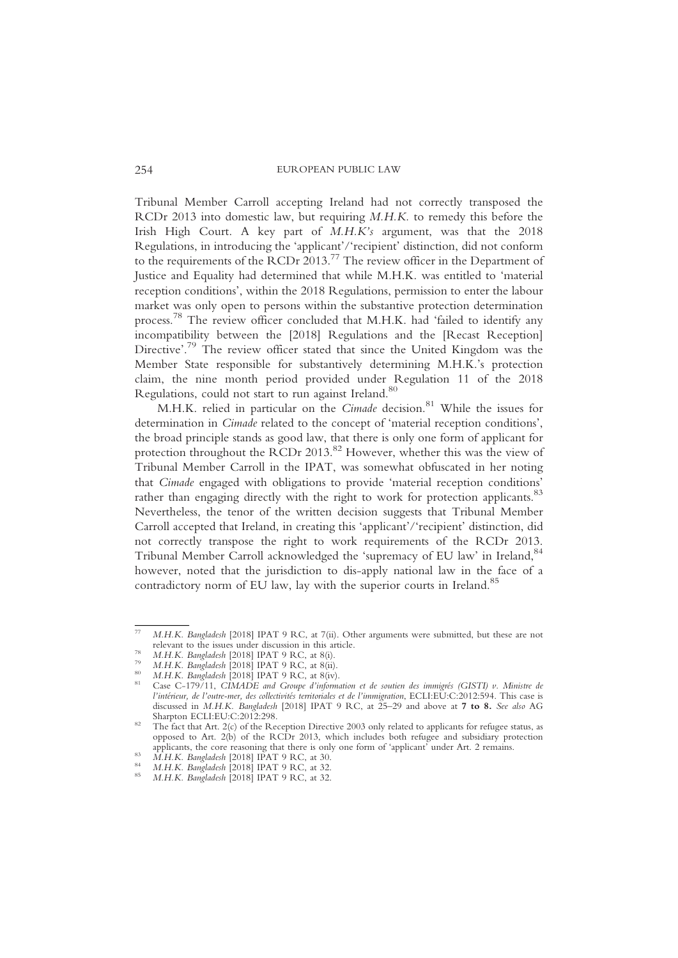Tribunal Member Carroll accepting Ireland had not correctly transposed the RCDr 2013 into domestic law, but requiring M.H.K. to remedy this before the Irish High Court. A key part of M.H.K's argument, was that the 2018 Regulations, in introducing the 'applicant'/'recipient' distinction, did not conform to the requirements of the RCDr 2013.77 The review officer in the Department of Justice and Equality had determined that while M.H.K. was entitled to 'material reception conditions', within the 2018 Regulations, permission to enter the labour market was only open to persons within the substantive protection determination process.<sup>78</sup> The review officer concluded that M.H.K. had 'failed to identify any incompatibility between the [2018] Regulations and the [Recast Reception] Directive'. <sup>79</sup> The review officer stated that since the United Kingdom was the Member State responsible for substantively determining M.H.K.'s protection claim, the nine month period provided under Regulation 11 of the 2018 Regulations, could not start to run against Ireland.<sup>80</sup>

M.H.K. relied in particular on the Cimade decision.<sup>81</sup> While the issues for determination in Cimade related to the concept of 'material reception conditions', the broad principle stands as good law, that there is only one form of applicant for protection throughout the RCDr 2013.<sup>82</sup> However, whether this was the view of Tribunal Member Carroll in the IPAT, was somewhat obfuscated in her noting that Cimade engaged with obligations to provide 'material reception conditions' rather than engaging directly with the right to work for protection applicants.<sup>83</sup> Nevertheless, the tenor of the written decision suggests that Tribunal Member Carroll accepted that Ireland, in creating this 'applicant'/'recipient' distinction, did not correctly transpose the right to work requirements of the RCDr 2013. Tribunal Member Carroll acknowledged the 'supremacy of EU law' in Ireland, 84 however, noted that the jurisdiction to dis-apply national law in the face of a contradictory norm of EU law, lay with the superior courts in Ireland.<sup>85</sup>

M.H.K. Bangladesh [2018] IPAT 9 RC, at 7(ii). Other arguments were submitted, but these are not relevant to the issues under discussion in this article.

<sup>&</sup>lt;sup>78</sup> M.H.K. Bangladesh [2018] IPAT 9 RC, at 8(i).<br>
<sup>79</sup> M.H.K. Bangladesh [2018] IPAT 9 RC, at 8(ii).<br>
<sup>80</sup> M.H.K. Bangladesh [2018] IPAT 9 RC, at 8(iv).<br>
<sup>81</sup> Case C-179/11, *CIMADE and Groupe d'information et de soutien* l'intérieur, de l'outre-mer, des collectivités territoriales et de l'immigration, ECLI:EU:C:2012:594. This case is discussed in M.H.K. Bangladesh [2018] IPAT 9 RC, at 25-29 and above at 7 to 8. See also AG Sharpton ECLI:EU:C:2012:298.<br><sup>82</sup> The fact that Art. 2(c) of the Reception Directive 2003 only related to applicants for refugee status, as

opposed to Art. 2(b) of the RCDr 2013, which includes both refugee and subsidiary protection applicants, the core reasoning that there is only one form of 'applicant' under Art. 2 remains.<br> *M.H.K. Bangladesh* [2018] IPAT 9 RC, at 30.<br> *M.H.K. Bangladesh* [2018] IPAT 9 RC, at 32.<br> *M.H.K. Bangladesh* [2018] IPAT 9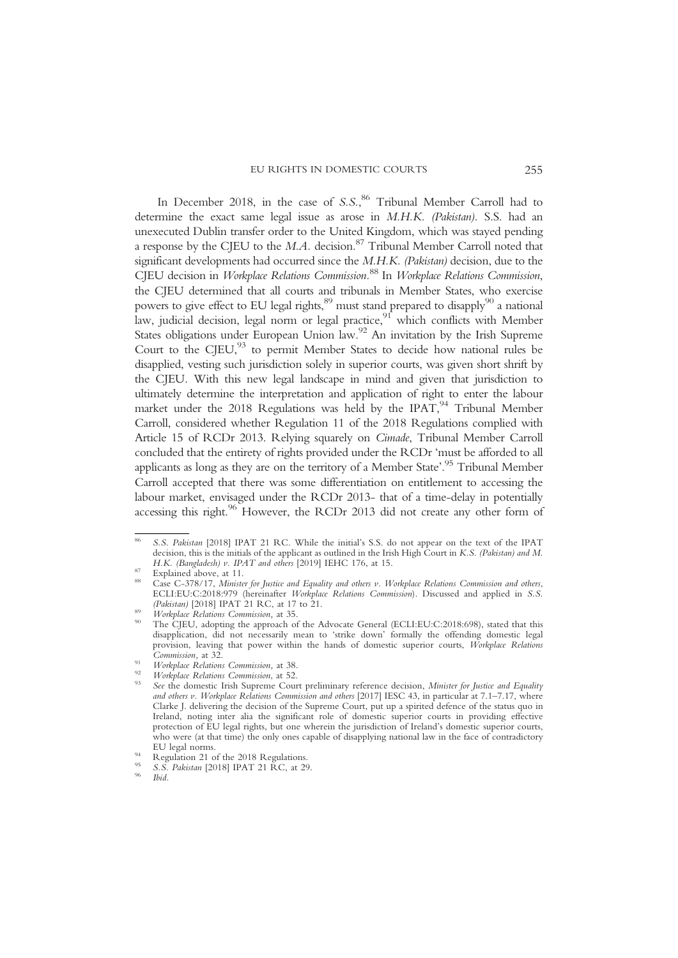#### EU RIGHTS IN DOMESTIC COURTS 255

In December 2018, in the case of S.S.,<sup>86</sup> Tribunal Member Carroll had to determine the exact same legal issue as arose in M.H.K. (Pakistan). S.S. had an unexecuted Dublin transfer order to the United Kingdom, which was stayed pending a response by the CIEU to the  $M.A$ . decision.<sup>87</sup> Tribunal Member Carroll noted that significant developments had occurred since the M.H.K. (Pakistan) decision, due to the CJEU decision in Workplace Relations Commission.<sup>88</sup> In Workplace Relations Commission, the CJEU determined that all courts and tribunals in Member States, who exercise powers to give effect to EU legal rights,<sup>89</sup> must stand prepared to disapply<sup>90</sup> a national law, judicial decision, legal norm or legal practice,<sup>91</sup> which conflicts with Member States obligations under European Union law.<sup>92</sup> An invitation by the Irish Supreme Court to the CJEU, $93$  to permit Member States to decide how national rules be disapplied, vesting such jurisdiction solely in superior courts, was given short shrift by the CJEU. With this new legal landscape in mind and given that jurisdiction to ultimately determine the interpretation and application of right to enter the labour market under the 2018 Regulations was held by the IPAT, $94$  Tribunal Member Carroll, considered whether Regulation 11 of the 2018 Regulations complied with Article 15 of RCDr 2013. Relying squarely on Cimade, Tribunal Member Carroll concluded that the entirety of rights provided under the RCDr 'must be afforded to all applicants as long as they are on the territory of a Member State'. <sup>95</sup> Tribunal Member Carroll accepted that there was some differentiation on entitlement to accessing the labour market, envisaged under the RCDr 2013- that of a time-delay in potentially accessing this right.<sup>96</sup> However, the RCDr 2013 did not create any other form of

<sup>86</sup> S.S. Pakistan [2018] IPAT 21 RC. While the initial's S.S. do not appear on the text of the IPAT decision, this is the initials of the applicant as outlined in the Irish High Court in K.S. (Pakistan) and M. H.K. (Bangladesh) v. IPAT and others [2019] IEHC 176, at 15.

H.K. (Bangladesh) v. IPAT and others and others in the case C-378/17, Minister for Justice and Equality and others v. Workplace Relations Commission and others, ECLI:EU:C:2018:979 (hereinafter *Workplace Relations Commission*). Discussed and applied in S.S. (Pakistan) [2018] IPAT 21 RC, at 17 to 21.

Workplace Relations Commission, at 35.<br>The CJEU, adopting the approach of the Advocate General (ECLI:EU:C:2018:698), stated that this disapplication, did not necessarily mean to 'strike down' formally the offending domestic legal provision, leaving that power within the hands of domestic superior courts, Workplace Relations Commission, at 32.

<sup>&</sup>lt;sup>91</sup> Workplace Relations Commission, at 38.<br><sup>92</sup> Workplace Relations Commission, at 52.<br><sup>93</sup> See the domestic Irish Supreme Court preliminary reference decision, Minister for Justice and Equality and others v. Workplace Relations Commission and others [2017] IESC 43, in particular at 7.1–7.17, where Clarke J. delivering the decision of the Supreme Court, put up a spirited defence of the status quo in Ireland, noting inter alia the significant role of domestic superior courts in providing effective protection of EU legal rights, but one wherein the jurisdiction of Ireland's domestic superior courts, who were (at that time) the only ones capable of disapplying national law in the face of contradictory EU legal norms

<sup>&</sup>lt;sup>94</sup> Regulation 21 of the 2018 Regulations.<br><sup>95</sup> S.S. *Pakistan* [2018] IPAT 21 RC, at 29.<br>*Note*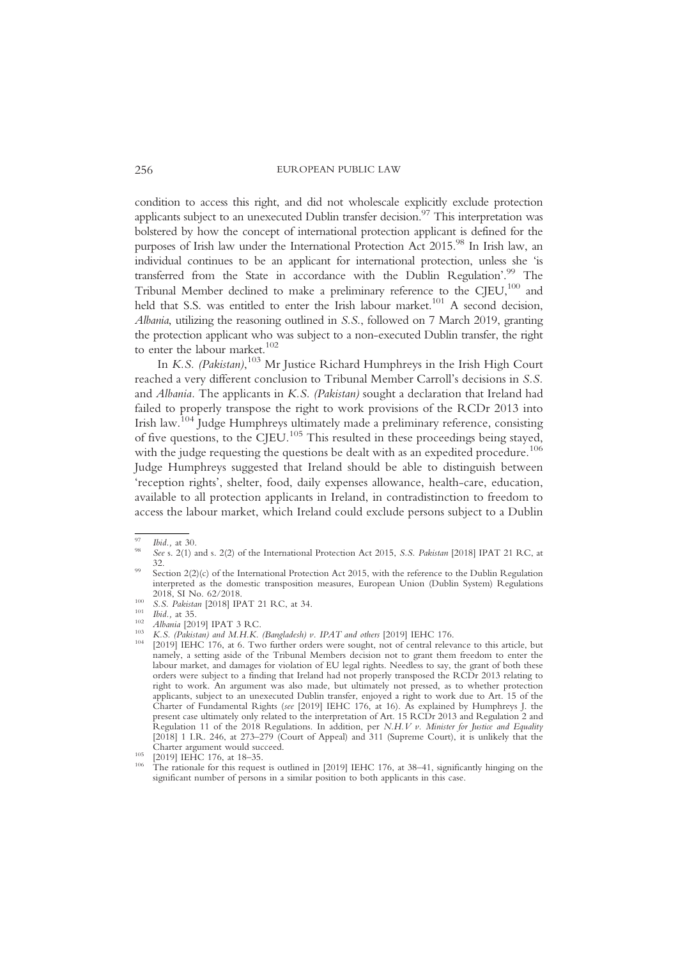condition to access this right, and did not wholescale explicitly exclude protection applicants subject to an unexecuted Dublin transfer decision.<sup>97</sup> This interpretation was bolstered by how the concept of international protection applicant is defined for the purposes of Irish law under the International Protection Act 2015.<sup>98</sup> In Irish law, an individual continues to be an applicant for international protection, unless she 'is transferred from the State in accordance with the Dublin Regulation'. <sup>99</sup> The Tribunal Member declined to make a preliminary reference to the CJEU,<sup>100</sup> and held that S.S. was entitled to enter the Irish labour market.<sup>101</sup> A second decision, Albania, utilizing the reasoning outlined in S.S., followed on 7 March 2019, granting the protection applicant who was subject to a non-executed Dublin transfer, the right to enter the labour market.<sup>102</sup>

In K.S. (Pakistan),  $103$  Mr Justice Richard Humphreys in the Irish High Court reached a very different conclusion to Tribunal Member Carroll's decisions in S.S. and Albania. The applicants in K.S. (Pakistan) sought a declaration that Ireland had failed to properly transpose the right to work provisions of the RCDr 2013 into Irish law.104 Judge Humphreys ultimately made a preliminary reference, consisting of five questions, to the CJEU.<sup>105</sup> This resulted in these proceedings being stayed, with the judge requesting the questions be dealt with as an expedited procedure.<sup>106</sup> Judge Humphreys suggested that Ireland should be able to distinguish between 'reception rights', shelter, food, daily expenses allowance, health-care, education, available to all protection applicants in Ireland, in contradistinction to freedom to access the labour market, which Ireland could exclude persons subject to a Dublin

<sup>&</sup>lt;sup>97</sup> Ibid., at 30.<br><sup>98</sup> See s. 2(1) and s. 2(2) of the International Protection Act 2015, S.S. *Pakistan* [2018] IPAT 21 RC, at 32.<br>Section  $2(2)(c)$  of the International Protection Act 2015, with the reference to the Dublin Regulation

interpreted as the domestic transposition measures, European Union (Dublin System) Regulations

<sup>5.5.</sup> Pakistan [2018] IPAT 21 RC, at 34.<br>
101 *Ibid.*, at 35.<br> *Albania* [2019] IPAT 3 RC.<br>
103 *K.S. (Pakistan) and M.H.K. (Bangladesh) v. IPAT and others* [2019] IEHC 176.<br>
<sup>104</sup> [2019] IEHC 176, at 6. Two further orders

namely, a setting aside of the Tribunal Members decision not to grant them freedom to enter the labour market, and damages for violation of EU legal rights. Needless to say, the grant of both these orders were subject to a finding that Ireland had not properly transposed the RCDr 2013 relating to right to work. An argument was also made, but ultimately not pressed, as to whether protection applicants, subject to an unexecuted Dublin transfer, enjoyed a right to work due to Art. 15 of the Charter of Fundamental Rights (see [2019] IEHC 176, at 16). As explained by Humphreys J. the present case ultimately only related to the interpretation of Art. 15 RCDr 2013 and Regulation 2 and Regulation 11 of the 2018 Regulations. In addition, per N.H.V v. Minister for Justice and Equality [2018] 1 I.R. 246, at 273–279 (Court of Appeal) and 311 (Supreme Court), it is unlikely that the

<sup>&</sup>lt;sup>105</sup> [2019] IEHC 176, at 18–35.<br><sup>106</sup> The rationale for this request is outlined in [2019] IEHC 176, at 38–41, significantly hinging on the significant number of persons in a similar position to both applicants in this case.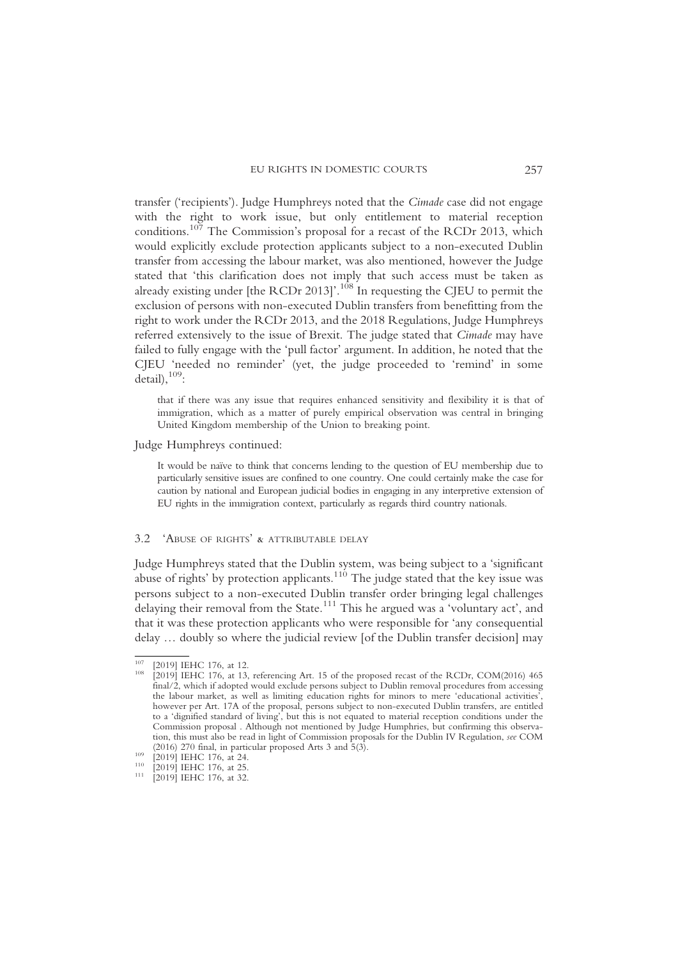transfer ('recipients'). Judge Humphreys noted that the Cimade case did not engage with the right to work issue, but only entitlement to material reception conditions.<sup>107</sup> The Commission's proposal for a recast of the RCDr 2013, which would explicitly exclude protection applicants subject to a non-executed Dublin transfer from accessing the labour market, was also mentioned, however the Judge stated that 'this clarification does not imply that such access must be taken as already existing under [the RCDr 2013]'. $^{1\hat{0}\hat{8}}$  In requesting the CJEU to permit the exclusion of persons with non-executed Dublin transfers from benefitting from the right to work under the RCDr 2013, and the 2018 Regulations, Judge Humphreys referred extensively to the issue of Brexit. The judge stated that Cimade may have failed to fully engage with the 'pull factor' argument. In addition, he noted that the CJEU 'needed no reminder' (yet, the judge proceeded to 'remind' in some  $detail$ ,  $109$ :

that if there was any issue that requires enhanced sensitivity and flexibility it is that of immigration, which as a matter of purely empirical observation was central in bringing United Kingdom membership of the Union to breaking point.

# Judge Humphreys continued:

It would be naïve to think that concerns lending to the question of EU membership due to particularly sensitive issues are confined to one country. One could certainly make the case for caution by national and European judicial bodies in engaging in any interpretive extension of EU rights in the immigration context, particularly as regards third country nationals.

## 3.2 'ABUSE OF RIGHTS' & ATTRIBUTABLE DELAY

Judge Humphreys stated that the Dublin system, was being subject to a 'significant abuse of rights' by protection applicants.<sup>110</sup> The judge stated that the key issue was persons subject to a non-executed Dublin transfer order bringing legal challenges delaying their removal from the State.111 This he argued was a 'voluntary act', and that it was these protection applicants who were responsible for 'any consequential delay … doubly so where the judicial review [of the Dublin transfer decision] may

<sup>&</sup>lt;sup>107</sup> [2019] IEHC 176, at 12.  $[2019]$  IEHC 176, at 13, referencing Art. 15 of the proposed recast of the RCDr, COM(2016) 465 final/2, which if adopted would exclude persons subject to Dublin removal procedures from accessing the labour market, as well as limiting education rights for minors to mere 'educational activities', however per Art. 17A of the proposal, persons subject to non-executed Dublin transfers, are entitled to a 'dignified standard of living', but this is not equated to material reception conditions under the Commission proposal . Although not mentioned by Judge Humphries, but confirming this observation, this must also be read in light of Commission proposals for the Dublin IV Regulation, see COM (2016) 270 final, in particular proposed Arts 3 and 5(3).

<sup>(2019) 170</sup> final, in particular proposed Arts 3 and 5(3). 110 [2019] IEHC 176, at 25. 111 [2019] IEHC 176, at 32.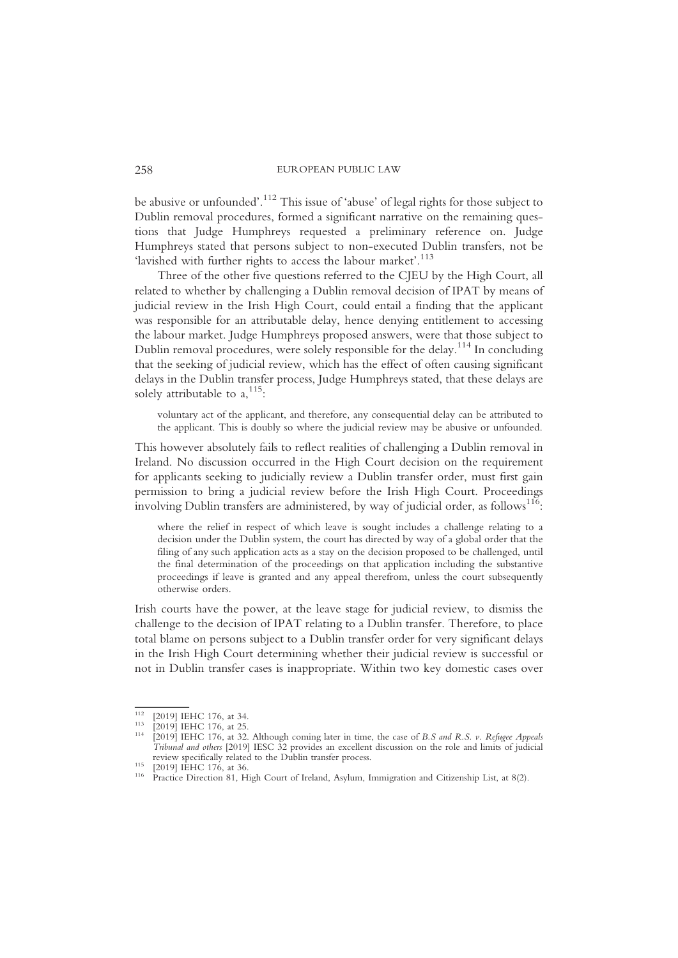be abusive or unfounded'. <sup>112</sup> This issue of 'abuse' of legal rights for those subject to Dublin removal procedures, formed a significant narrative on the remaining questions that Judge Humphreys requested a preliminary reference on. Judge Humphreys stated that persons subject to non-executed Dublin transfers, not be 'lavished with further rights to access the labour market'.<sup>113</sup>

Three of the other five questions referred to the CJEU by the High Court, all related to whether by challenging a Dublin removal decision of IPAT by means of judicial review in the Irish High Court, could entail a finding that the applicant was responsible for an attributable delay, hence denying entitlement to accessing the labour market. Judge Humphreys proposed answers, were that those subject to Dublin removal procedures, were solely responsible for the delay.<sup>114</sup> In concluding that the seeking of judicial review, which has the effect of often causing significant delays in the Dublin transfer process, Judge Humphreys stated, that these delays are solely attributable to  $a, ^{115}$ :

voluntary act of the applicant, and therefore, any consequential delay can be attributed to the applicant. This is doubly so where the judicial review may be abusive or unfounded.

This however absolutely fails to reflect realities of challenging a Dublin removal in Ireland. No discussion occurred in the High Court decision on the requirement for applicants seeking to judicially review a Dublin transfer order, must first gain permission to bring a judicial review before the Irish High Court. Proceedings  $\frac{1}{10}$  involving Dublin transfers are administered, by way of judicial order, as follows $^{116}$ :

where the relief in respect of which leave is sought includes a challenge relating to a decision under the Dublin system, the court has directed by way of a global order that the filing of any such application acts as a stay on the decision proposed to be challenged, until the final determination of the proceedings on that application including the substantive proceedings if leave is granted and any appeal therefrom, unless the court subsequently otherwise orders.

Irish courts have the power, at the leave stage for judicial review, to dismiss the challenge to the decision of IPAT relating to a Dublin transfer. Therefore, to place total blame on persons subject to a Dublin transfer order for very significant delays in the Irish High Court determining whether their judicial review is successful or not in Dublin transfer cases is inappropriate. Within two key domestic cases over

<sup>&</sup>lt;sup>112</sup> [2019] IEHC 176, at 34.<br><sup>113</sup> [2019] IEHC 176, at 25.<br><sup>114</sup> [2019] IEHC 176, at 32. Although coming later in time, the case of *B.S and R.S. v. Refugee Appeals* Tribunal and others [2019] IESC 32 provides an excellent discussion on the role and limits of judicial

review specifically related to the Dublin transfer process.<br>
<sup>116</sup> Practice Direction 81, High Court of Ireland, Asylum, Immigration and Citizenship List, at 8(2).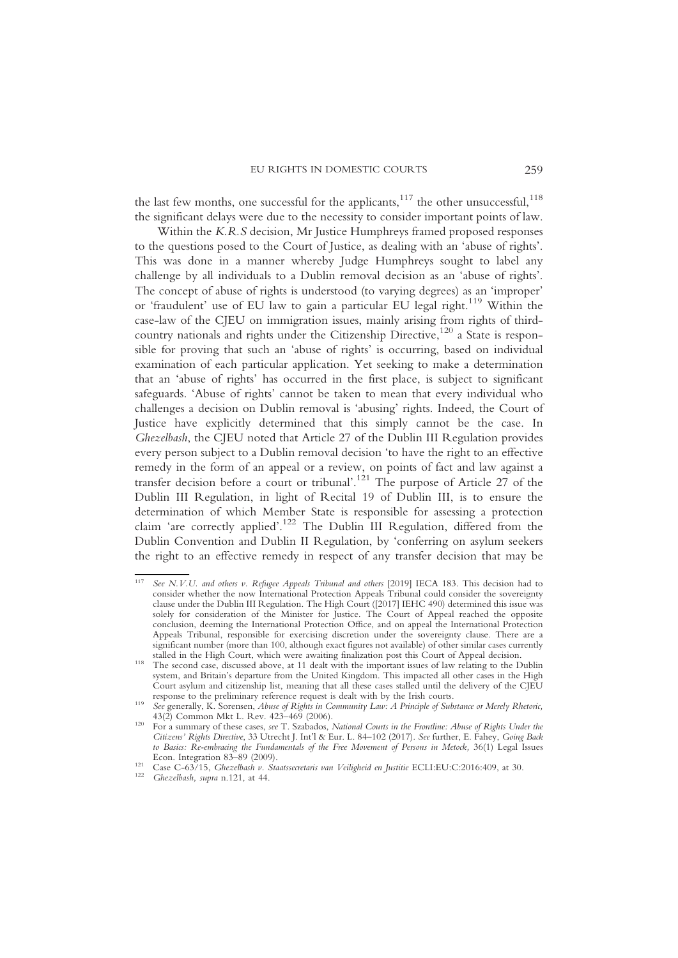the last few months, one successful for the applicants, $117$  the other unsuccessful, $118$ the significant delays were due to the necessity to consider important points of law.

Within the K.R.S decision, Mr Justice Humphreys framed proposed responses to the questions posed to the Court of Justice, as dealing with an 'abuse of rights'. This was done in a manner whereby Judge Humphreys sought to label any challenge by all individuals to a Dublin removal decision as an 'abuse of rights'. The concept of abuse of rights is understood (to varying degrees) as an 'improper' or 'fraudulent' use of EU law to gain a particular EU legal right.<sup>119</sup> Within the case-law of the CJEU on immigration issues, mainly arising from rights of thirdcountry nationals and rights under the Citizenship Directive,<sup>120</sup> a State is responsible for proving that such an 'abuse of rights' is occurring, based on individual examination of each particular application. Yet seeking to make a determination that an 'abuse of rights' has occurred in the first place, is subject to significant safeguards. 'Abuse of rights' cannot be taken to mean that every individual who challenges a decision on Dublin removal is 'abusing' rights. Indeed, the Court of Justice have explicitly determined that this simply cannot be the case. In Ghezelbash, the CJEU noted that Article 27 of the Dublin III Regulation provides every person subject to a Dublin removal decision 'to have the right to an effective remedy in the form of an appeal or a review, on points of fact and law against a transfer decision before a court or tribunal'. <sup>121</sup> The purpose of Article 27 of the Dublin III Regulation, in light of Recital 19 of Dublin III, is to ensure the determination of which Member State is responsible for assessing a protection claim 'are correctly applied'.<sup>122</sup> The Dublin III Regulation, differed from the Dublin Convention and Dublin II Regulation, by 'conferring on asylum seekers the right to an effective remedy in respect of any transfer decision that may be

See N.V.U. and others v. Refugee Appeals Tribunal and others [2019] IECA 183. This decision had to consider whether the now International Protection Appeals Tribunal could consider the sovereignty clause under the Dublin III Regulation. The High Court ([2017] IEHC 490) determined this issue was solely for consideration of the Minister for Justice. The Court of Appeal reached the opposite conclusion, deeming the International Protection Office, and on appeal the International Protection Appeals Tribunal, responsible for exercising discretion under the sovereignty clause. There are a significant number (more than 100, although exact figures not available) of other similar cases currently stalled in the High Court, which were awaiting finalization post this Court of Appeal decision.

stalled in the High Court, which were awaiting finalization post this Court of Appeal decision. <sup>118</sup> The second case, discussed above, at 11 dealt with the important issues of law relating to the Dublin system, and Britain's departure from the United Kingdom. This impacted all other cases in the High Court asylum and citizenship list, meaning that all these cases stalled until the delivery of the CJEU

reponse to the preliminary reference requests is dealt with by the Irish courts.<br>
See generally, K. Sorensen, Abuse of Rights in Community Law: A Principle of Substance or Merely Rhetoric,<br>
43(2) Common Mkt L. Rev. 423–469

<sup>&</sup>lt;sup>120</sup> For a summary of these cases, see T. Szabados, National Courts in the Frontline: Abuse of Rights Under the Citizens' Rights Directive, 33 Utrecht J. Int'l & Eur. L. 84–102 (2017). See further, E. Fahey, Going Back to Basics: Re-embracing the Fundamentals of the Free Movement of Persons in Metock, 36(1) Legal Issues<br>Econ. Integration 83–89 (2009).

Econ. Integration 83–89 (2009). 121 Case C-63/15, Ghezelbash v. Staatssecretaris van Veiligheid en Justitie ECLI:EU:C:2016:409, at 30. 122 Ghezelbash, supra n.121, at 44.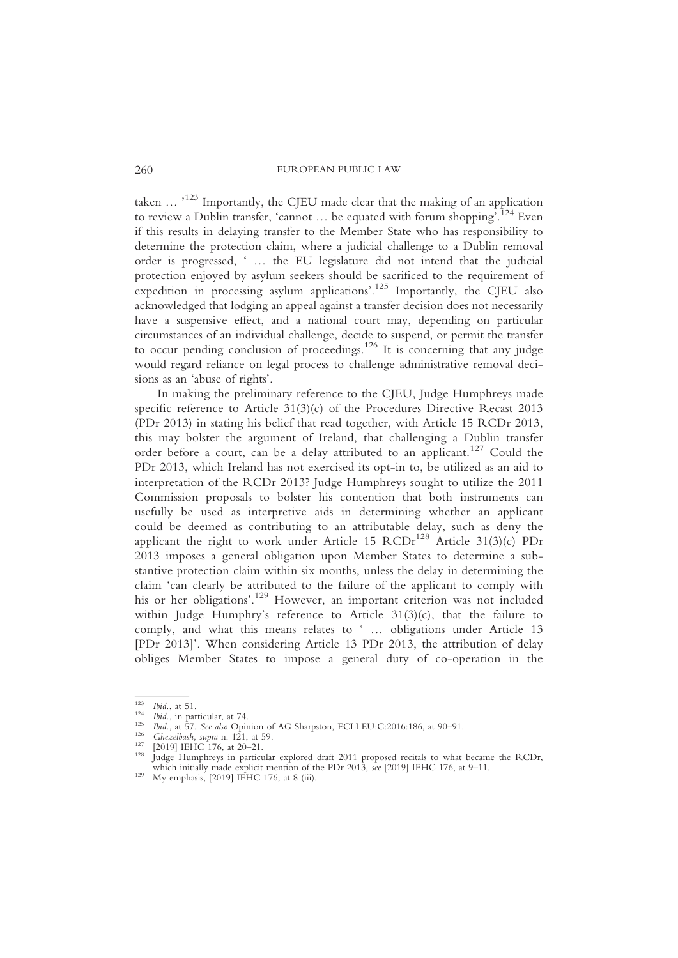taken … '<sup>123</sup> Importantly, the CJEU made clear that the making of an application to review a Dublin transfer, 'cannot ... be equated with forum shopping<sup>7</sup>.<sup>124</sup> Even if this results in delaying transfer to the Member State who has responsibility to determine the protection claim, where a judicial challenge to a Dublin removal order is progressed, ' … the EU legislature did not intend that the judicial protection enjoyed by asylum seekers should be sacrificed to the requirement of expedition in processing asylum applications'. <sup>125</sup> Importantly, the CJEU also acknowledged that lodging an appeal against a transfer decision does not necessarily have a suspensive effect, and a national court may, depending on particular circumstances of an individual challenge, decide to suspend, or permit the transfer to occur pending conclusion of proceedings.<sup>126</sup> It is concerning that any judge would regard reliance on legal process to challenge administrative removal decisions as an 'abuse of rights'.

In making the preliminary reference to the CJEU, Judge Humphreys made specific reference to Article  $31(3)(c)$  of the Procedures Directive Recast 2013 (PDr 2013) in stating his belief that read together, with Article 15 RCDr 2013, this may bolster the argument of Ireland, that challenging a Dublin transfer order before a court, can be a delay attributed to an applicant.<sup>127</sup> Could the PDr 2013, which Ireland has not exercised its opt-in to, be utilized as an aid to interpretation of the RCDr 2013? Judge Humphreys sought to utilize the 2011 Commission proposals to bolster his contention that both instruments can usefully be used as interpretive aids in determining whether an applicant could be deemed as contributing to an attributable delay, such as deny the applicant the right to work under Article 15  $RCDr^{128}$  Article 31(3)(c) PDr 2013 imposes a general obligation upon Member States to determine a substantive protection claim within six months, unless the delay in determining the claim 'can clearly be attributed to the failure of the applicant to comply with his or her obligations'. <sup>129</sup> However, an important criterion was not included within Judge Humphry's reference to Article 31(3)(c), that the failure to comply, and what this means relates to ' … obligations under Article 13 [PDr 2013]'. When considering Article 13 PDr 2013, the attribution of delay obliges Member States to impose a general duty of co-operation in the

<sup>&</sup>lt;sup>123</sup> Ibid., at 51.<br>
<sup>124</sup> Ibid., in particular, at 74.<br>
<sup>125</sup> Ibid., at 57. *See also* Opinion of AG Sharpston, ECLI:EU:C:2016:186, at 90–91.<br>
<sup>126</sup> *Ghezelbash, supra* n. 121, at 59.<br>
<sup>127</sup> [2019] IEHC 176, at 20–21.<br>
J which initially made explicit mention of the PDr 2013, see [2019] IEHC 176, at 9–11.<br><sup>129</sup> My emphasis, [2019] IEHC 176, at 8 (iii).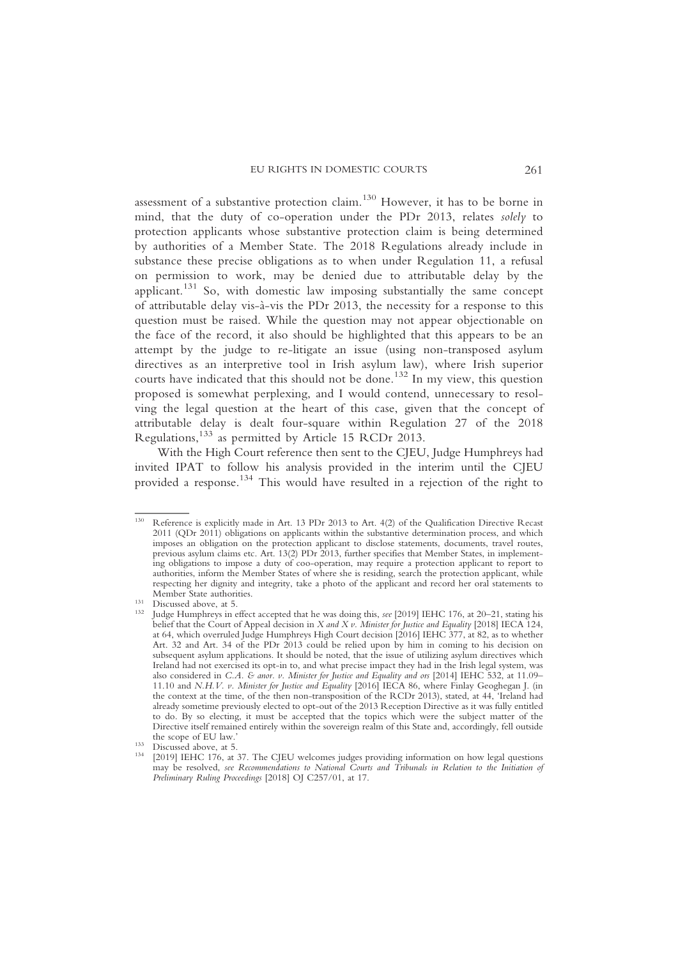assessment of a substantive protection claim.<sup>130</sup> However, it has to be borne in mind, that the duty of co-operation under the PDr 2013, relates solely to protection applicants whose substantive protection claim is being determined by authorities of a Member State. The 2018 Regulations already include in substance these precise obligations as to when under Regulation 11, a refusal on permission to work, may be denied due to attributable delay by the applicant.<sup>131</sup> So, with domestic law imposing substantially the same concept of attributable delay vis-à-vis the PDr 2013, the necessity for a response to this question must be raised. While the question may not appear objectionable on the face of the record, it also should be highlighted that this appears to be an attempt by the judge to re-litigate an issue (using non-transposed asylum directives as an interpretive tool in Irish asylum law), where Irish superior courts have indicated that this should not be done.<sup>132</sup> In my view, this question proposed is somewhat perplexing, and I would contend, unnecessary to resolving the legal question at the heart of this case, given that the concept of attributable delay is dealt four-square within Regulation 27 of the 2018 Regulations,<sup>133</sup> as permitted by Article 15 RCDr 2013.

With the High Court reference then sent to the CJEU, Judge Humphreys had invited IPAT to follow his analysis provided in the interim until the CJEU provided a response.<sup>134</sup> This would have resulted in a rejection of the right to

<sup>130</sup> Reference is explicitly made in Art. 13 PDr 2013 to Art. 4(2) of the Qualification Directive Recast 2011 (QDr 2011) obligations on applicants within the substantive determination process, and which imposes an obligation on the protection applicant to disclose statements, documents, travel routes, previous asylum claims etc. Art. 13(2) PDr 2013, further specifies that Member States, in implementing obligations to impose a duty of coo-operation, may require a protection applicant to report to authorities, inform the Member States of where she is residing, search the protection applicant, while respecting her dignity and integrity, take a photo of the applicant and record her oral statements to

Member State authorities.<br>
131 Discussed above, at 5.<br>
132 Judge Humphreys in effect accepted that he was doing this, *see* [2019] IEHC 176, at 20–21, stating his belief that the Court of Appeal decision in X and X v. Minister for Justice and Equality [2018] IECA 124, at 64, which overruled Judge Humphreys High Court decision [2016] IEHC 377, at 82, as to whether Art. 32 and Art. 34 of the PDr 2013 could be relied upon by him in coming to his decision on subsequent asylum applications. It should be noted, that the issue of utilizing asylum directives which Ireland had not exercised its opt-in to, and what precise impact they had in the Irish legal system, was also considered in C.A. & anor. v. Minister for Justice and Equality and ors [2014] IEHC 532, at 11.09-11.10 and N.H.V. v. Minister for Justice and Equality [2016] IECA 86, where Finlay Geoghegan J. (in the context at the time, of the then non-transposition of the RCDr 2013), stated, at 44, 'Ireland had already sometime previously elected to opt-out of the 2013 Reception Directive as it was fully entitled to do. By so electing, it must be accepted that the topics which were the subject matter of the Directive itself remained entirely within the sovereign realm of this State and, accordingly, fell outside

the scope of EU law.<br>
133 Discussed above, at 5.<br>
134 [2019] IEHC 176, at 37. The CJEU welcomes judges providing information on how legal questions may be resolved, see Recommendations to National Courts and Tribunals in Relation to the Initiation of Preliminary Ruling Proceedings [2018] OJ C257/01, at 17.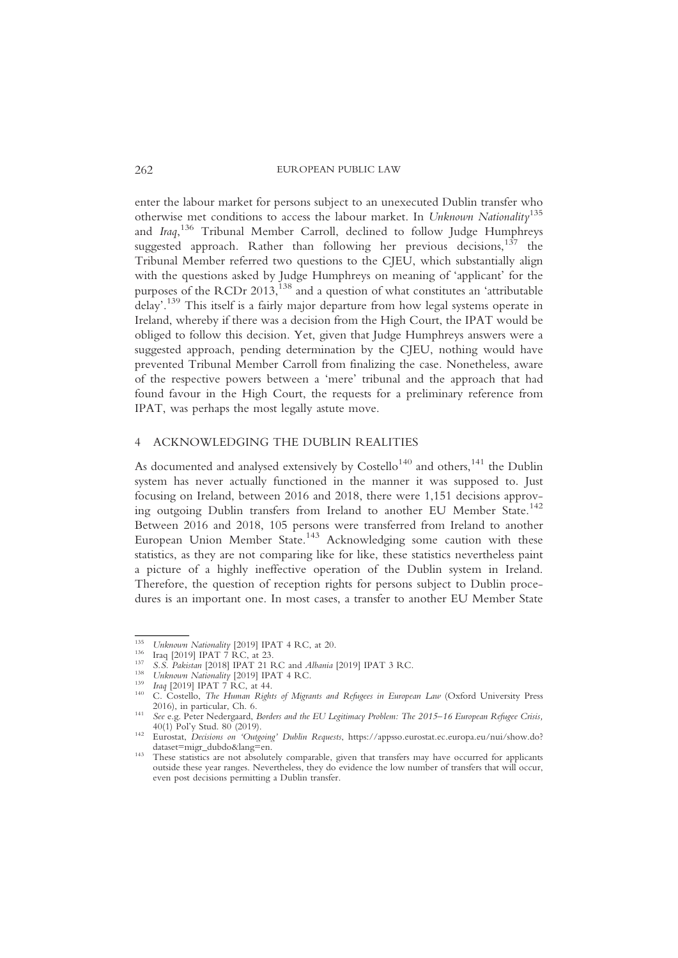enter the labour market for persons subject to an unexecuted Dublin transfer who otherwise met conditions to access the labour market. In Unknown Nationality<sup>135</sup> and Iraq,<sup>136</sup> Tribunal Member Carroll, declined to follow Judge Humphreys suggested approach. Rather than following her previous decisions,<sup>137</sup> the Tribunal Member referred two questions to the CJEU, which substantially align with the questions asked by Judge Humphreys on meaning of 'applicant' for the purposes of the RCDr  $2013$ ,  $^{138}$  and a question of what constitutes an 'attributable delay'. <sup>139</sup> This itself is a fairly major departure from how legal systems operate in Ireland, whereby if there was a decision from the High Court, the IPAT would be obliged to follow this decision. Yet, given that Judge Humphreys answers were a suggested approach, pending determination by the CJEU, nothing would have prevented Tribunal Member Carroll from finalizing the case. Nonetheless, aware of the respective powers between a 'mere' tribunal and the approach that had found favour in the High Court, the requests for a preliminary reference from IPAT, was perhaps the most legally astute move.

# 4 ACKNOWLEDGING THE DUBLIN REALITIES

As documented and analysed extensively by  $\text{Costello}^{140}$  and others,<sup>141</sup> the Dublin system has never actually functioned in the manner it was supposed to. Just focusing on Ireland, between 2016 and 2018, there were 1,151 decisions approving outgoing Dublin transfers from Ireland to another EU Member State.<sup>142</sup> Between 2016 and 2018, 105 persons were transferred from Ireland to another European Union Member State.<sup>143</sup> Acknowledging some caution with these statistics, as they are not comparing like for like, these statistics nevertheless paint a picture of a highly ineffective operation of the Dublin system in Ireland. Therefore, the question of reception rights for persons subject to Dublin procedures is an important one. In most cases, a transfer to another EU Member State

<sup>&</sup>lt;sup>135</sup> Unknown Nationality [2019] IPAT 4 RC, at 20.<br>
<sup>136</sup> Iraq [2019] IPAT 7 RC, at 23.<br> *S.S. Pakistan* [2018] IPAT 21 RC and *Albania* [2019] IPAT 3 RC.<br> *Unknown Nationality* [2019] IPAT 4 RC.<br>
<sup>139</sup> *Iraq* [2019] IPAT

<sup>2020),</sup> in particular, Ch. 6. 141 See e.g. Peter Nedergaard, Borders and the EU Legitimacy Problem: The 2015–16 European Refugee Crisis, 40(1) Pol'y Stud. 80 (2019).

<sup>&</sup>lt;sup>442</sup> Eurostat, *Decisions on 'Outgoing' Dublin Requests*, https://appsso.eurostat.ec.europa.eu/nui/show.do?<br>dataset=migr\_dubdo&lang=en.

dataset imgr\_dubdoechang=en.<br><sup>143</sup> These statistics are not absolutely comparable, given that transfers may have occurred for applicants outside these year ranges. Nevertheless, they do evidence the low number of transfers that will occur, even post decisions permitting a Dublin transfer.